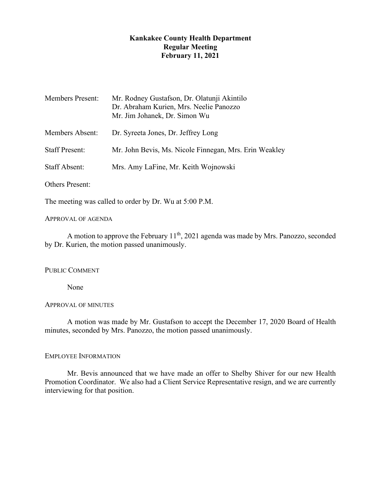# **Kankakee County Health Department Regular Meeting February 11, 2021**

| <b>Members Present:</b> | Mr. Rodney Gustafson, Dr. Olatunji Akintilo<br>Dr. Abraham Kurien, Mrs. Neelie Panozzo<br>Mr. Jim Johanek, Dr. Simon Wu |
|-------------------------|-------------------------------------------------------------------------------------------------------------------------|
| Members Absent:         | Dr. Syreeta Jones, Dr. Jeffrey Long                                                                                     |
| <b>Staff Present:</b>   | Mr. John Bevis, Ms. Nicole Finnegan, Mrs. Erin Weakley                                                                  |
| <b>Staff Absent:</b>    | Mrs. Amy LaFine, Mr. Keith Wojnowski                                                                                    |
| <b>Others Present:</b>  |                                                                                                                         |

The meeting was called to order by Dr. Wu at 5:00 P.M.

### APPROVAL OF AGENDA

A motion to approve the February 11<sup>th</sup>, 2021 agenda was made by Mrs. Panozzo, seconded by Dr. Kurien, the motion passed unanimously.

## PUBLIC COMMENT

None

## APPROVAL OF MINUTES

A motion was made by Mr. Gustafson to accept the December 17, 2020 Board of Health minutes, seconded by Mrs. Panozzo, the motion passed unanimously.

## EMPLOYEE INFORMATION

Mr. Bevis announced that we have made an offer to Shelby Shiver for our new Health Promotion Coordinator. We also had a Client Service Representative resign, and we are currently interviewing for that position.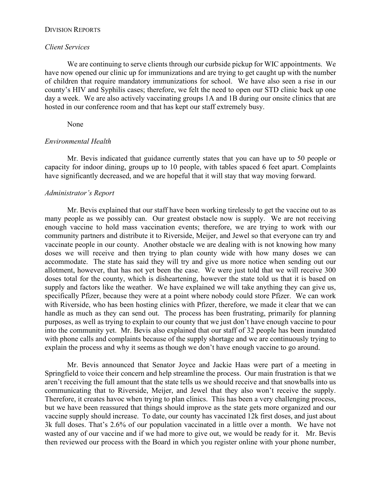#### DIVISION REPORTS

### *Client Services*

We are continuing to serve clients through our curbside pickup for WIC appointments. We have now opened our clinic up for immunizations and are trying to get caught up with the number of children that require mandatory immunizations for school. We have also seen a rise in our county's HIV and Syphilis cases; therefore, we felt the need to open our STD clinic back up one day a week. We are also actively vaccinating groups 1A and 1B during our onsite clinics that are hosted in our conference room and that has kept our staff extremely busy.

None

### *Environmental Health*

Mr. Bevis indicated that guidance currently states that you can have up to 50 people or capacity for indoor dining, groups up to 10 people, with tables spaced 6 feet apart. Complaints have significantly decreased, and we are hopeful that it will stay that way moving forward.

## *Administrator's Report*

Mr. Bevis explained that our staff have been working tirelessly to get the vaccine out to as many people as we possibly can. Our greatest obstacle now is supply. We are not receiving enough vaccine to hold mass vaccination events; therefore, we are trying to work with our community partners and distribute it to Riverside, Meijer, and Jewel so that everyone can try and vaccinate people in our county. Another obstacle we are dealing with is not knowing how many doses we will receive and then trying to plan county wide with how many doses we can accommodate. The state has said they will try and give us more notice when sending out our allotment, however, that has not yet been the case. We were just told that we will receive 300 doses total for the county, which is disheartening, however the state told us that it is based on supply and factors like the weather. We have explained we will take anything they can give us, specifically Pfizer, because they were at a point where nobody could store Pfizer. We can work with Riverside, who has been hosting clinics with Pfizer, therefore, we made it clear that we can handle as much as they can send out. The process has been frustrating, primarily for planning purposes, as well as trying to explain to our county that we just don't have enough vaccine to pour into the community yet. Mr. Bevis also explained that our staff of 32 people has been inundated with phone calls and complaints because of the supply shortage and we are continuously trying to explain the process and why it seems as though we don't have enough vaccine to go around.

Mr. Bevis announced that Senator Joyce and Jackie Haas were part of a meeting in Springfield to voice their concern and help streamline the process. Our main frustration is that we aren't receiving the full amount that the state tells us we should receive and that snowballs into us communicating that to Riverside, Meijer, and Jewel that they also won't receive the supply. Therefore, it creates havoc when trying to plan clinics. This has been a very challenging process, but we have been reassured that things should improve as the state gets more organized and our vaccine supply should increase. To date, our county has vaccinated 12k first doses, and just about 3k full doses. That's 2.6% of our population vaccinated in a little over a month. We have not wasted any of our vaccine and if we had more to give out, we would be ready for it. Mr. Bevis then reviewed our process with the Board in which you register online with your phone number,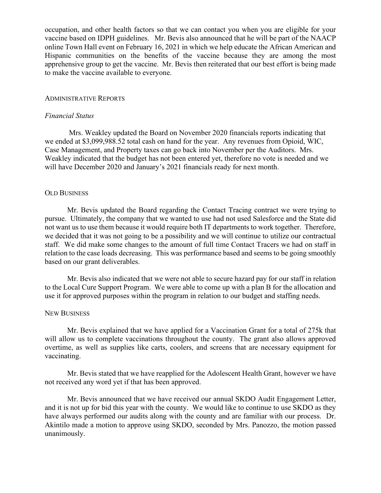occupation, and other health factors so that we can contact you when you are eligible for your vaccine based on IDPH guidelines. Mr. Bevis also announced that he will be part of the NAACP online Town Hall event on February 16, 2021 in which we help educate the African American and Hispanic communities on the benefits of the vaccine because they are among the most apprehensive group to get the vaccine. Mr. Bevis then reiterated that our best effort is being made to make the vaccine available to everyone.

### ADMINISTRATIVE REPORTS

#### *Financial Status*

Mrs. Weakley updated the Board on November 2020 financials reports indicating that we ended at \$3,099,988.52 total cash on hand for the year. Any revenues from Opioid, WIC, Case Management, and Property taxes can go back into November per the Auditors. Mrs. Weakley indicated that the budget has not been entered yet, therefore no vote is needed and we will have December 2020 and January's 2021 financials ready for next month.

#### OLD BUSINESS

Mr. Bevis updated the Board regarding the Contact Tracing contract we were trying to pursue. Ultimately, the company that we wanted to use had not used Salesforce and the State did not want us to use them because it would require both IT departments to work together. Therefore, we decided that it was not going to be a possibility and we will continue to utilize our contractual staff. We did make some changes to the amount of full time Contact Tracers we had on staff in relation to the case loads decreasing. This was performance based and seems to be going smoothly based on our grant deliverables.

Mr. Bevis also indicated that we were not able to secure hazard pay for our staff in relation to the Local Cure Support Program. We were able to come up with a plan B for the allocation and use it for approved purposes within the program in relation to our budget and staffing needs.

#### NEW BUSINESS

Mr. Bevis explained that we have applied for a Vaccination Grant for a total of 275k that will allow us to complete vaccinations throughout the county. The grant also allows approved overtime, as well as supplies like carts, coolers, and screens that are necessary equipment for vaccinating.

Mr. Bevis stated that we have reapplied for the Adolescent Health Grant, however we have not received any word yet if that has been approved.

Mr. Bevis announced that we have received our annual SKDO Audit Engagement Letter, and it is not up for bid this year with the county. We would like to continue to use SKDO as they have always performed our audits along with the county and are familiar with our process. Dr. Akintilo made a motion to approve using SKDO, seconded by Mrs. Panozzo, the motion passed unanimously.